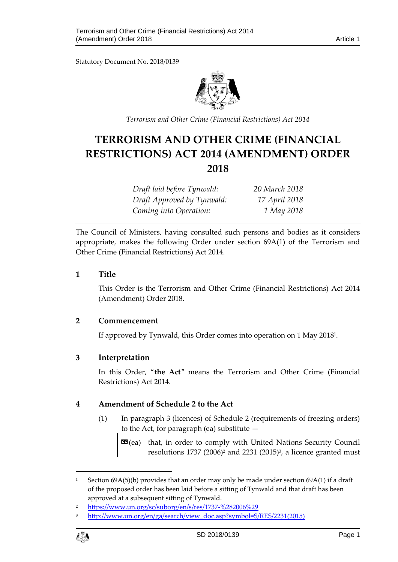Statutory Document No. 2018/0139



*Terrorism and Other Crime (Financial Restrictions) Act 2014*

# **TERRORISM AND OTHER CRIME (FINANCIAL RESTRICTIONS) ACT 2014 (AMENDMENT) ORDER 2018**

| Draft laid before Tynwald: | 20 March 2018 |
|----------------------------|---------------|
| Draft Approved by Tynwald: | 17 April 2018 |
| Coming into Operation:     | 1 May 2018    |

The Council of Ministers, having consulted such persons and bodies as it considers appropriate, makes the following Order under section 69A(1) of the Terrorism and Other Crime (Financial Restrictions) Act 2014.

#### **1 Title**

This Order is the Terrorism and Other Crime (Financial Restrictions) Act 2014 (Amendment) Order 2018.

## **2 Commencement**

If approved by Tynwald, this Order comes into operation on 1 May 2018<sup>1</sup> .

## **3 Interpretation**

In this Order, "**the Act**" means the Terrorism and Other Crime (Financial Restrictions) Act 2014.

## **4 Amendment of Schedule 2 to the Act**

(1) In paragraph 3 (licences) of Schedule 2 (requirements of freezing orders) to the Act, for paragraph (ea) substitute —

**EG**(ea) that, in order to comply with United Nations Security Council resolutions  $1737$  (2006)<sup>2</sup> and  $2231$  (2015)<sup>3</sup>, a licence granted must

<sup>3</sup> [http://www.un.org/en/ga/search/view\\_doc.asp?symbol=S/RES/2231\(2015\)](http://www.un.org/en/ga/search/view_doc.asp?symbol=S/RES/2231(2015))



1

Section  $69A(5)$ (b) provides that an order may only be made under section  $69A(1)$  if a draft of the proposed order has been laid before a sitting of Tynwald and that draft has been approved at a subsequent sitting of Tynwald.

<sup>2</sup> <https://www.un.org/sc/suborg/en/s/res/1737-%282006%29>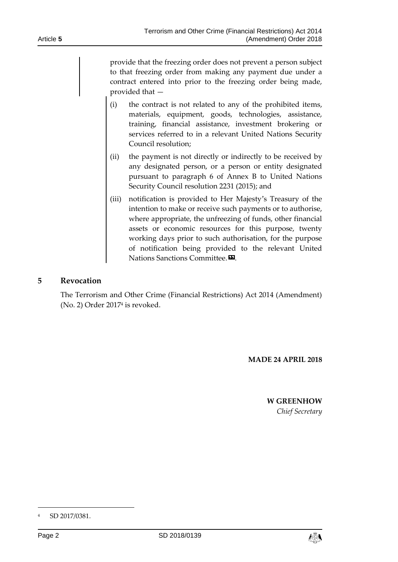provide that the freezing order does not prevent a person subject to that freezing order from making any payment due under a contract entered into prior to the freezing order being made, provided that —

- (i) the contract is not related to any of the prohibited items, materials, equipment, goods, technologies, assistance, training, financial assistance, investment brokering or services referred to in a relevant United Nations Security Council resolution;
- (ii) the payment is not directly or indirectly to be received by any designated person, or a person or entity designated pursuant to paragraph 6 of Annex B to United Nations Security Council resolution 2231 (2015); and
- (iii) notification is provided to Her Majesty's Treasury of the intention to make or receive such payments or to authorise, where appropriate, the unfreezing of funds, other financial assets or economic resources for this purpose, twenty working days prior to such authorisation, for the purpose of notification being provided to the relevant United Nations Sanctions Committee.<sup>20</sup>.

## **5 Revocation**

The Terrorism and Other Crime (Financial Restrictions) Act 2014 (Amendment) (No. 2) Order 2017<sup>4</sup> is revoked.

**MADE 24 APRIL 2018**

#### **W GREENHOW** *Chief Secretary*

-



<sup>4</sup> SD 2017/0381.